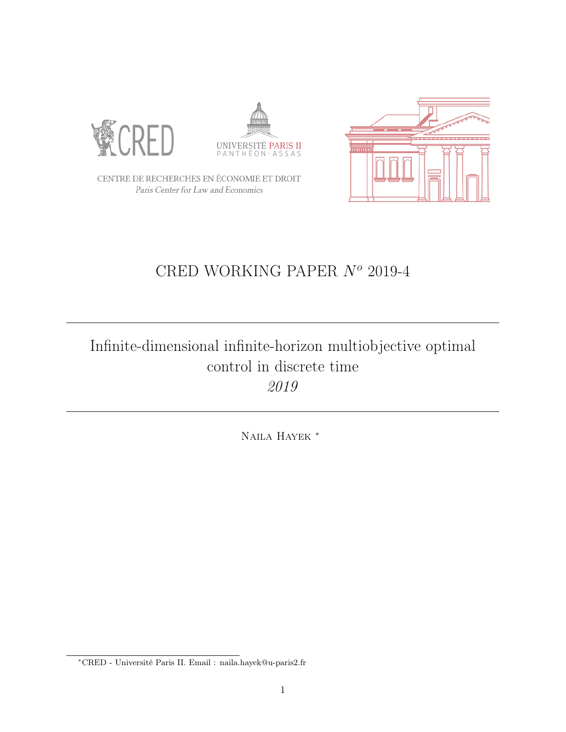





CENTRE DE RECHERCHES EN ÉCONOMIE ET DROIT Paris Center for Law and Economics

# CRED WORKING PAPER  $N^o$  2019-4

# Infinite-dimensional infinite-horizon multiobjective optimal control in discrete time 2019

Naila Hayek <sup>∗</sup>

<sup>∗</sup>CRED - Université Paris II. Email : naila.hayek@u-paris2.fr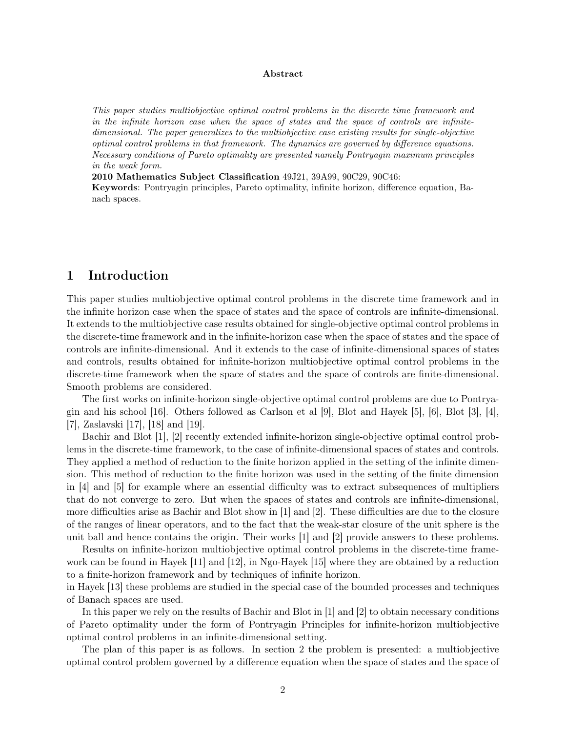#### Abstract

This paper studies multiobjective optimal control problems in the discrete time framework and in the infinite horizon case when the space of states and the space of controls are infinitedimensional. The paper generalizes to the multiobjective case existing results for single-objective optimal control problems in that framework. The dynamics are governed by difference equations. Necessary conditions of Pareto optimality are presented namely Pontryagin maximum principles in the weak form.

2010 Mathematics Subject Classification 49J21, 39A99, 90C29, 90C46:

Keywords: Pontryagin principles, Pareto optimality, infinite horizon, difference equation, Banach spaces.

# 1 Introduction

This paper studies multiobjective optimal control problems in the discrete time framework and in the infinite horizon case when the space of states and the space of controls are infinite-dimensional. It extends to the multiobjective case results obtained for single-objective optimal control problems in the discrete-time framework and in the infinite-horizon case when the space of states and the space of controls are infinite-dimensional. And it extends to the case of infinite-dimensional spaces of states and controls, results obtained for infinite-horizon multiobjective optimal control problems in the discrete-time framework when the space of states and the space of controls are finite-dimensional. Smooth problems are considered.

The first works on infinite-horizon single-objective optimal control problems are due to Pontrya-gin and his school [\[16\]](#page-12-0). Others followed as Carlson et al  $\vert 9 \vert$ , Blot and Hayek [\[5\]](#page-12-2), [\[6\]](#page-12-3), Blot [\[3\]](#page-11-0), [\[4\]](#page-11-1), [\[7\]](#page-12-4), Zaslavski [\[17\]](#page-12-5), [\[18\]](#page-12-6) and [\[19\]](#page-12-7).

Bachir and Blot [\[1\]](#page-11-2), [\[2\]](#page-11-3) recently extended infinite-horizon single-objective optimal control problems in the discrete-time framework, to the case of infinite-dimensional spaces of states and controls. They applied a method of reduction to the finite horizon applied in the setting of the infinite dimension. This method of reduction to the finite horizon was used in the setting of the finite dimension in [\[4\]](#page-11-1) and [\[5\]](#page-12-2) for example where an essential difficulty was to extract subsequences of multipliers that do not converge to zero. But when the spaces of states and controls are infinite-dimensional, more difficulties arise as Bachir and Blot show in [\[1\]](#page-11-2) and [\[2\]](#page-11-3). These difficulties are due to the closure of the ranges of linear operators, and to the fact that the weak-star closure of the unit sphere is the unit ball and hence contains the origin. Their works [\[1\]](#page-11-2) and [\[2\]](#page-11-3) provide answers to these problems.

Results on infinite-horizon multiobjective optimal control problems in the discrete-time framework can be found in Hayek [\[11\]](#page-12-8) and [\[12\]](#page-12-9), in Ngo-Hayek [\[15\]](#page-12-10) where they are obtained by a reduction to a finite-horizon framework and by techniques of infinite horizon.

in Hayek [\[13\]](#page-12-11) these problems are studied in the special case of the bounded processes and techniques of Banach spaces are used.

In this paper we rely on the results of Bachir and Blot in [\[1\]](#page-11-2) and [\[2\]](#page-11-3) to obtain necessary conditions of Pareto optimality under the form of Pontryagin Principles for infinite-horizon multiobjective optimal control problems in an infinite-dimensional setting.

The plan of this paper is as follows. In section 2 the problem is presented: a multiobjective optimal control problem governed by a difference equation when the space of states and the space of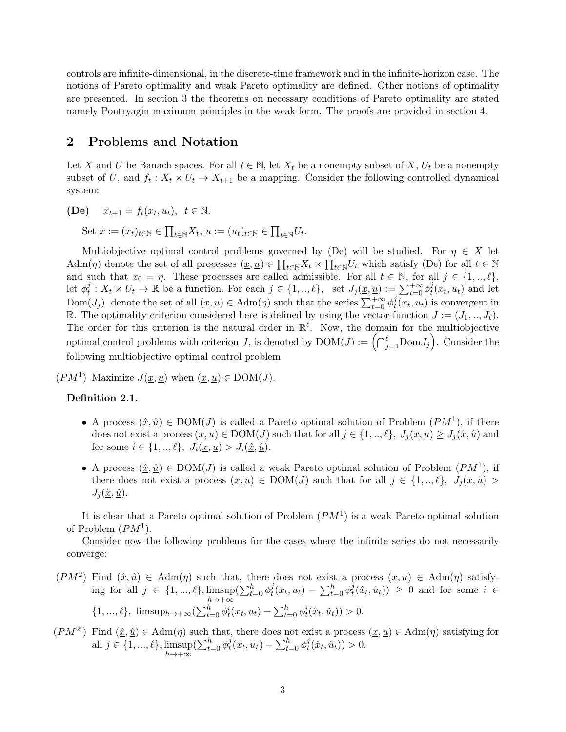controls are infinite-dimensional, in the discrete-time framework and in the infinite-horizon case. The notions of Pareto optimality and weak Pareto optimality are defined. Other notions of optimality are presented. In section 3 the theorems on necessary conditions of Pareto optimality are stated namely Pontryagin maximum principles in the weak form. The proofs are provided in section 4.

# 2 Problems and Notation

Let X and U be Banach spaces. For all  $t \in \mathbb{N}$ , let  $X_t$  be a nonempty subset of X,  $U_t$  be a nonempty subset of U, and  $f_t: X_t \times U_t \to X_{t+1}$  be a mapping. Consider the following controlled dynamical system:

(**De**)  $x_{t+1} = f_t(x_t, u_t), \ t \in \mathbb{N}.$ 

Set  $\underline{x} := (x_t)_{t \in \mathbb{N}} \in \prod_{t \in \mathbb{N}} X_t, \underline{u} := (u_t)_{t \in \mathbb{N}} \in \prod_{t \in \mathbb{N}} U_t.$ 

Multiobjective optimal control problems governed by (De) will be studied. For  $\eta \in X$  let  $\text{Adm}(\eta)$  denote the set of all processes  $(\underline{x}, \underline{u}) \in \prod_{t \in \mathbb{N}} X_t \times \prod_{t \in \mathbb{N}} U_t$  which satisfy (De) for all  $t \in \mathbb{N}$ and such that  $x_0 = \eta$ . These processes are called admissible. For all  $t \in \mathbb{N}$ , for all  $j \in \{1, ..., \ell\}$ , let  $\phi_t^j$  $t_i^j: X_t \times U_t \to \mathbb{R}$  be a function. For each  $j \in \{1, ..., \ell\}$ , set  $J_j(\underline{x}, \underline{u}) := \sum_{t=0}^{+\infty} \phi_t^j$  $_t^j(x_t, u_t)$  and let Dom $(J_j)$  denote the set of all  $(\underline{x}, \underline{u}) \in \text{Adm}(\eta)$  such that the series  $\sum_{t=0}^{+\infty} \phi_t^j$  $t^j(x_t, u_t)$  is convergent in R. The optimality criterion considered here is defined by using the vector-function  $J := (J_1, ..., J_\ell)$ . The order for this criterion is the natural order in  $\mathbb{R}^{\ell}$ . Now, the domain for the multiobjective optimal control problems with criterion J, is denoted by  $DOM(J) := \left(\bigcap_{j=1}^{\ell} \text{Dom}J_j\right)$ . Consider the following multiobjective optimal control problem

 $(PM^1)$  Maximize  $J(\underline{x}, \underline{u})$  when  $(\underline{x}, \underline{u}) \in \text{DOM}(J)$ .

### Definition 2.1.

- A process  $(\hat{x}, \hat{u}) \in DOM(J)$  is called a Pareto optimal solution of Problem  $(PM^1)$ , if there does not exist a process  $(\underline{x}, \underline{u}) \in \text{DOM}(J)$  such that for all  $j \in \{1, ..., \ell\}, J_i(\underline{x}, \underline{u}) \geq J_i(\underline{\hat{x}}, \underline{\hat{u}})$  and for some  $i \in \{1, ..., \ell\}, J_i(\underline{x}, \underline{u}) > J_i(\hat{x}, \hat{u}).$
- A process  $(\hat{x}, \hat{u}) \in DOM(J)$  is called a weak Pareto optimal solution of Problem  $(PM^1)$ , if there does not exist a process  $(x, \underline{u}) \in DOM(J)$  such that for all  $j \in \{1, ..., \ell\}, J_j(\underline{x}, \underline{u})>$  $J_i(\hat{\underline{x}}, \hat{\underline{u}}).$

It is clear that a Pareto optimal solution of Problem  $(PM^1)$  is a weak Pareto optimal solution of Problem  $(PM^1)$ .

Consider now the following problems for the cases where the infinite series do not necessarily converge:

- $(PM^2)$  Find  $(\hat{x}, \hat{u}) \in \text{Adm}(\eta)$  such that, there does not exist a process  $(x, u) \in \text{Adm}(\eta)$  satisfying for all  $j \in \{1, ..., \ell\}$ , limsup  $h\rightarrow+\infty$  $\left(\sum_{t=0}^h \phi_t^j\right)$  $\frac{d}{dt}(x_t,u_t) - \sum_{t=0}^h \phi_t^{\bar{j}}$  $(t^j(t, \hat{u}_t)) \geq 0$  and for some  $i \in$  $\{1, ..., \ell\}, \limsup_{h \to +\infty} \left( \sum_{t=0}^h \phi_t^i(x_t, u_t) - \sum_{t=0}^h \phi_t^i(\hat{x}_t, \hat{u}_t) \right) > 0.$
- $(PM^{2'})$  Find  $(\hat{\underline{x}}, \hat{\underline{u}}) \in \text{Adm}(\eta)$  such that, there does not exist a process  $(\underline{x}, \underline{u}) \in \text{Adm}(\eta)$  satisfying for all  $j \in \{1, ..., \ell\}$ , limsup  $h\rightarrow+\infty$  $\left(\sum_{t=0}^h \phi_t^j\right)$  $\frac{d}{dt}(x_t, u_t) - \sum_{t=0}^h \phi_t^j$  $t^j(\hat{x}_t, \hat{u}_t) > 0.$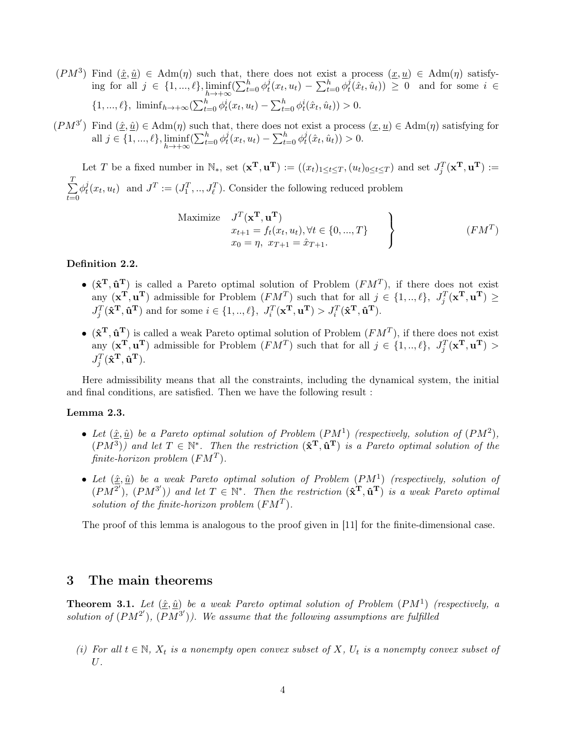$(PM^3)$  Find  $(\hat{x}, \hat{u}) \in \text{Adm}(\eta)$  such that, there does not exist a process  $(x, u) \in \text{Adm}(\eta)$  satisfying for all  $j \in \{1, ..., \ell\}$ ,  $\liminf_{h \to +\infty} (\sum_{t=0}^h \phi_t^j)$  $t^{j}(x_{t}, u_{t}) - \sum_{t=0}^{h} \phi_{t}^{j}$  $(t^j(t, \hat{u}_t)) \geq 0$  and for some  $i \in$  $\{1, ..., \ell\}, \liminf_{h \to +\infty} \left( \sum_{t=0}^h \phi_t^i(x_t, u_t) - \sum_{t=0}^h \phi_t^i(\hat{x}_t, \hat{u}_t) \right) > 0.$ 

 $(PM^{3'})$  Find  $(\hat{\underline{x}}, \hat{\underline{u}}) \in \text{Adm}(\eta)$  such that, there does not exist a process  $(\underline{x}, \underline{u}) \in \text{Adm}(\eta)$  satisfying for all  $j \in \{1, ..., \ell\}$ ,  $\liminf_{h \to +\infty} (\sum_{t=0}^h \phi_t^j)$  $\frac{d}{dt}(x_t,u_t) - \sum_{t=0}^h \phi^j_t$  $t^j(\hat{x}_t, \hat{u}_t) > 0.$ 

Let T be a fixed number in  $\mathbb{N}_*$ , set  $(\mathbf{x}^T, \mathbf{u}^T) := ((x_t)_{1 \le t \le T}, (u_t)_{0 \le t \le T})$  and set  $J_j^T(\mathbf{x}^T, \mathbf{u}^T) :=$  $\sum_{i=1}^{T}$  $t=0$  $\phi^j_t$  $t^j(x_t, u_t)$  and  $J^T := (J_1^T, ..., J_\ell^T)$ . Consider the following reduced problem

Maximize 
$$
J^T(\mathbf{x}^T, \mathbf{u}^T)
$$
  
\n
$$
\begin{aligned}\nx_{t+1} &= f_t(x_t, u_t), \forall t \in \{0, ..., T\} \\
x_0 &= \eta, \ x_{T+1} = \hat{x}_{T+1}.\n\end{aligned}
$$
\n(*FM*<sup>T</sup>)

#### Definition 2.2.

- $(\hat{\mathbf{x}}^T, \hat{\mathbf{u}}^T)$  is called a Pareto optimal solution of Problem  $(FM^T)$ , if there does not exist any  $(\mathbf{x}^T, \mathbf{u}^T)$  admissible for Problem  $(FM^T)$  such that for all  $j \in \{1, ..., \ell\}, J_j^T(\mathbf{x}^T, \mathbf{u}^T) \geq$  $J_j^T(\hat{\mathbf{x}}^{\mathbf{T}}, \hat{\mathbf{u}}^{\mathbf{T}})$  and for some  $i \in \{1, ..., \ell\}, J_i^T(\mathbf{x}^{\mathbf{T}}, \mathbf{u}^{\mathbf{T}}) > J_i^T(\hat{\mathbf{x}}^{\mathbf{T}}, \hat{\mathbf{u}}^{\mathbf{T}})$ .
- $(\hat{\mathbf{x}}^T, \hat{\mathbf{u}}^T)$  is called a weak Pareto optimal solution of Problem  $(FM^T)$ , if there does not exist any  $(\mathbf{x}^T, \mathbf{u}^T)$  admissible for Problem  $(FM^T)$  such that for all  $j \in \{1, ..., \ell\}, J_j^T(\mathbf{x}^T, \mathbf{u}^T) >$  $J_j^T(\hat{\mathbf{x}}^{\mathbf{T}}, \hat{\mathbf{u}}^{\mathbf{T}}).$

Here admissibility means that all the constraints, including the dynamical system, the initial and final conditions, are satisfied. Then we have the following result :

#### Lemma 2.3.

- Let  $(\hat{x}, \hat{u})$  be a Pareto optimal solution of Problem  $(PM^1)$  (respectively, solution of  $(PM^2)$ ,  $(PM^3)$ ) and let  $T \in \mathbb{N}^*$ . Then the restriction  $(\mathbf{\hat{x}}^T, \mathbf{\hat{u}}^T)$  is a Pareto optimal solution of the finite-horizon problem  $(FM^T)$ .
- Let  $(\hat{x}, \hat{u})$  be a weak Pareto optimal solution of Problem  $(PM^1)$  (respectively, solution of  $(PM^{2'}), (PM^{3'})$  and let  $T \in \mathbb{N}^*$ . Then the restriction  $(\hat{\mathbf{x}}^T, \hat{\mathbf{u}}^T)$  is a weak Pareto optimal solution of the finite-horizon problem  $(FM^T)$ .

The proof of this lemma is analogous to the proof given in [\[11\]](#page-12-8) for the finite-dimensional case.

## 3 The main theorems

<span id="page-3-0"></span>**Theorem 3.1.** Let  $(\hat{x}, \hat{u})$  be a weak Pareto optimal solution of Problem  $(PM^1)$  (respectively, a solution of  $(PM^{2'}), (PM^{3'})$ ). We assume that the following assumptions are fulfilled

(i) For all  $t \in \mathbb{N}$ ,  $X_t$  is a nonempty open convex subset of X,  $U_t$  is a nonempty convex subset of U.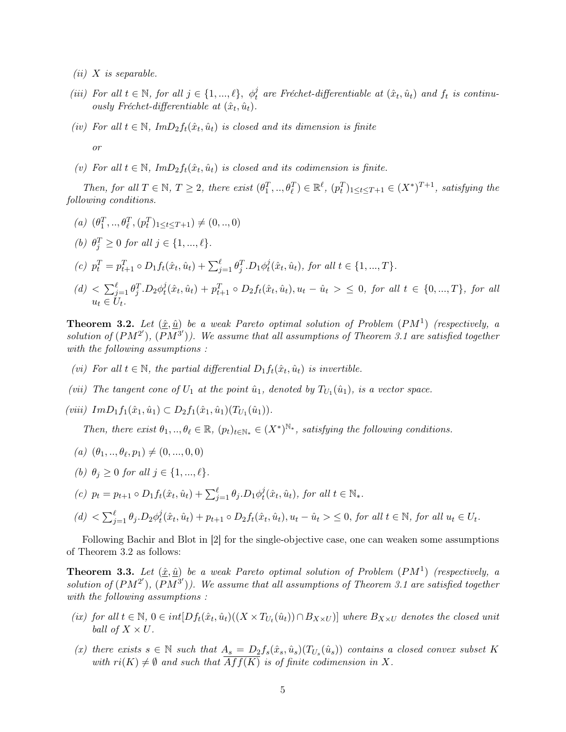- $(ii)$  X is separable.
- (iii) For all  $t \in \mathbb{N}$ , for all  $j \in \{1, ..., \ell\}$ ,  $\phi_t^j$  are Fréchet-differentiable at  $(\hat{x}_t, \hat{u}_t)$  and  $f_t$  is continuously Fréchet-differentiable at  $(\hat{x}_t, \hat{u}_t)$ .
- (iv) For all  $t \in \mathbb{N}$ ,  $Im D_2 f_t(\hat{x}_t, \hat{u}_t)$  is closed and its dimension is finite or
- (v) For all  $t \in \mathbb{N}$ ,  $Im D_2 f_t(\hat{x}_t, \hat{u}_t)$  is closed and its codimension is finite.

Then, for all  $T \in \mathbb{N}$ ,  $T \geq 2$ , there exist  $(\theta_1^T, ..., \theta_\ell^T) \in \mathbb{R}^\ell$ ,  $(p_t^T)_{1 \leq t \leq T+1} \in (X^*)^{T+1}$ , satisfying the following conditions.

(a)  $(\theta_1^T, ..., \theta_\ell^T, (p_t^T)_{1 \le t \le T+1}) \neq (0, ..., 0)$ 

(b) 
$$
\theta_j^T \geq 0
$$
 for all  $j \in \{1, ..., \ell\}$ .

- (c)  $p_t^T = p_{t+1}^T \circ D_1 f_t(\hat{x}_t, \hat{u}_t) + \sum_{j=1}^{\ell} \theta_j^T \cdot D_1 \phi_t^j$  $t^j(t, \hat{u}_t)$ , for all  $t \in \{1, ..., T\}$ .
- $(d) < \sum_{j=1}^{\ell} \theta_j^T \cdot D_2 \phi_t^j$  $t^j_t(\hat{x}_t, \hat{u}_t) + p_{t+1}^T \circ D_2f_t(\hat{x}_t, \hat{u}_t), u_t - \hat{u}_t > \leq 0$ , for all  $t \in \{0, ..., T\}$ , for all  $u_t \in U_t$ .

<span id="page-4-0"></span>**Theorem 3.2.** Let  $(\hat{x}, \hat{u})$  be a weak Pareto optimal solution of Problem  $(PM^1)$  (respectively, a solution of  $(PM^{2'}), (PM^{3'})$ ). We assume that all assumptions of Theorem [3.1](#page-3-0) are satisfied together with the following assumptions :

- (vi) For all  $t \in \mathbb{N}$ , the partial differential  $D_1 f_t(\hat{x}_t, \hat{u}_t)$  is invertible.
- (vii) The tangent cone of  $U_1$  at the point  $\hat{u}_1$ , denoted by  $T_{U_1}(\hat{u}_1)$ , is a vector space.
- (viii)  $Im D_1 f_1(\hat{x}_1, \hat{u}_1) \subset D_2 f_1(\hat{x}_1, \hat{u}_1) (T_{U_1}(\hat{u}_1)).$

Then, there exist  $\theta_1, ..., \theta_\ell \in \mathbb{R}, (p_t)_{t \in \mathbb{N}_*} \in (X^*)^{\mathbb{N}_*}$ , satisfying the following conditions.

- (a)  $(\theta_1, ..., \theta_\ell, p_1) \neq (0, ..., 0, 0)$
- (b)  $\theta_j \geq 0$  for all  $j \in \{1, ..., \ell\}$ .
- (c)  $p_t = p_{t+1} \circ D_1 f_t(\hat{x}_t, \hat{u}_t) + \sum_{j=1}^{\ell} \theta_j D_1 \phi_t^j$  $t^j(\hat{x}_t, \hat{u}_t)$ , for all  $t \in \mathbb{N}_*$ .
- $(d) < \sum_{j=1}^{\ell} \theta_j \cdot D_2 \phi_t^j$  $t^j_t(\hat{x}_t, \hat{u}_t) + p_{t+1} \circ D_2 f_t(\hat{x}_t, \hat{u}_t), u_t - \hat{u}_t > \leq 0$ , for all  $t \in \mathbb{N}$ , for all  $u_t \in U_t$ .

Following Bachir and Blot in [\[2\]](#page-11-3) for the single-objective case, one can weaken some assumptions of Theorem [3.2](#page-4-0) as follows:

<span id="page-4-1"></span>**Theorem 3.3.** Let  $(\hat{x}, \hat{u})$  be a weak Pareto optimal solution of Problem  $(PM^1)$  (respectively, a solution of  $(PM^{2'}), (PM^{3'})$ ). We assume that all assumptions of Theorem [3.1](#page-3-0) are satisfied together with the following assumptions :

- (ix) for all  $t \in \mathbb{N}$ ,  $0 \in int[*D* f_t(\hat{x}_t, \hat{u}_t)((X \times T_{U_t}(\hat{u}_t)) \cap B_{X \times U})]$  where  $B_{X \times U}$  denotes the closed unit ball of  $X \times U$ .
- (x) there exists  $s \in \mathbb{N}$  such that  $A_s = D_2 f_s(\hat{x}_s, \hat{u}_s) (T_{U_s}(\hat{u}_s))$  contains a closed convex subset K with  $ri(K) \neq \emptyset$  and such that  $\overline{Aff(K)}$  is of finite codimension in X.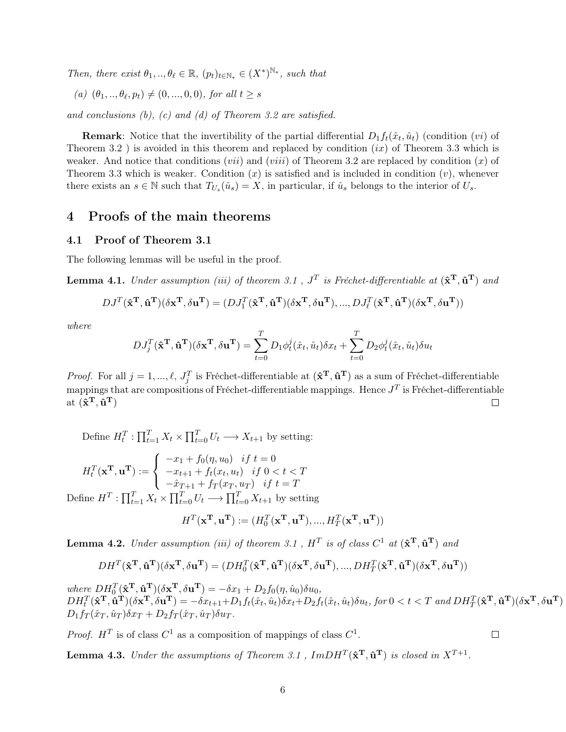Then, there exist  $\theta_1, \ldots, \theta_\ell \in \mathbb{R}$ ,  $(p_t)_{t \in \mathbb{N}_*} \in (X^*)^{\mathbb{N}_*}$ , such that

(a)  $(\theta_1, ..., \theta_\ell, p_t) \neq (0, ..., 0, 0)$ , for all  $t \geq s$ 

and conclusions  $(b)$ ,  $(c)$  and  $(d)$  of Theorem [3.2](#page-4-0) are satisfied.

**Remark**: Notice that the invertibility of the partial differential  $D_1 f_t(\hat{x}_t, \hat{u}_t)$  (condition  $(vi)$ ) of Theorem [3.2](#page-4-0) ) is avoided in this theorem and replaced by condition  $(ix)$  of Theorem [3.3](#page-4-1) which is weaker. And notice that conditions (*vii*) and (*viii*) of Theorem [3.2](#page-4-0) are replaced by condition  $(x)$  of Theorem [3.3](#page-4-1) which is weaker. Condition  $(x)$  is satisfied and is included in condition  $(v)$ , whenever there exists an  $s \in \mathbb{N}$  such that  $T_{U_s}(\hat{u}_s) = X$ , in particular, if  $\hat{u}_s$  belongs to the interior of  $U_s$ .

## 4 Proofs of the main theorems

#### 4.1 Proof of Theorem [3.1](#page-3-0)

The following lemmas will be useful in the proof.

<span id="page-5-0"></span>**Lemma 4.1.** Under assumption (iii) of theorem [3.1](#page-3-0),  $J<sup>T</sup>$  is Fréchet-differentiable at  $(\hat{\mathbf{x}}^T, \hat{\mathbf{u}}^T)$  and

$$
DJ^T(\hat{\mathbf{x}}^{\mathbf{T}}, \hat{\mathbf{u}}^{\mathbf{T}})(\delta \mathbf{x}^{\mathbf{T}}, \delta \mathbf{u}^{\mathbf{T}}) = (DJ_1^T(\hat{\mathbf{x}}^{\mathbf{T}}, \hat{\mathbf{u}}^{\mathbf{T}})(\delta \mathbf{x}^{\mathbf{T}}, \delta \mathbf{u}^{\mathbf{T}}), ..., DJ_\ell^T(\hat{\mathbf{x}}^{\mathbf{T}}, \hat{\mathbf{u}}^{\mathbf{T}})(\delta \mathbf{x}^{\mathbf{T}}, \delta \mathbf{u}^{\mathbf{T}}))
$$

where

$$
DJ_j^T(\hat{\mathbf{x}}^T, \hat{\mathbf{u}}^T)(\delta \mathbf{x}^T, \delta \mathbf{u}^T) = \sum_{t=0}^T D_1 \phi_t^j(\hat{x}_t, \hat{u}_t) \delta x_t + \sum_{t=0}^T D_2 \phi_t^j(\hat{x}_t, \hat{u}_t) \delta u_t
$$

*Proof.* For all  $j = 1, ..., \ell, J_j^T$  is Fréchet-differentiable at  $(\mathbf{\hat{x}}^T, \mathbf{\hat{u}}^T)$  as a sum of Fréchet-differentiable mappings that are compositions of Fréchet-differentiable mappings. Hence  $J^T$  is Fréchet-differentiable at  $(\mathbf{\hat{x}^T}, \mathbf{\hat{u}^T})$  $\Box$ 

Define  $H_t^T: \prod_{t=1}^T X_t \times \prod_{t=0}^T U_t \longrightarrow X_{t+1}$  by setting:

$$
H_t^T(\mathbf{x}^T, \mathbf{u}^T) := \begin{cases} -x_1 + f_0(\eta, u_0) & \text{if } t = 0\\ -x_{t+1} + f_t(x_t, u_t) & \text{if } 0 < t < T\\ -\hat{x}_{T+1} + f_T(x_T, u_T) & \text{if } t = T \end{cases}
$$
  
fine  $H^T : \prod_{t=1}^T X_t \times \prod_{t=0}^T U_t \longrightarrow \prod_{t=0}^T X_{t+1}$  by setting

De  $t_{t=0}$   $X_{t+1}$  by setting

$$
H^T(\mathbf{x^T}, \mathbf{u^T}) := (H_0^T(\mathbf{x^T}, \mathbf{u^T}), ..., H_T^T(\mathbf{x^T}, \mathbf{u^T}))
$$

<span id="page-5-1"></span>**Lemma 4.2.** Under assumption (iii) of theorem [3.1](#page-3-0),  $H<sup>T</sup>$  is of class  $C<sup>1</sup>$  at  $(\hat{\mathbf{x}}^T, \hat{\mathbf{u}}^T)$  and

$$
DH^T(\hat{\mathbf{x}}^{\mathbf{T}}, \hat{\mathbf{u}}^{\mathbf{T}})(\delta {\mathbf{x}}^{\mathbf{T}}, \delta {\mathbf{u}}^{\mathbf{T}}) = (DH_0^T(\hat{\mathbf{x}}^{\mathbf{T}}, \hat{\mathbf{u}}^{\mathbf{T}})(\delta {\mathbf{x}}^{\mathbf{T}}, \delta {\mathbf{u}}^{\mathbf{T}}), ..., DH_T^T(\hat{\mathbf{x}}^{\mathbf{T}}, \hat{\mathbf{u}}^{\mathbf{T}})(\delta {\mathbf{x}}^{\mathbf{T}}, \delta {\mathbf{u}}^{\mathbf{T}}))
$$

where  $DH_0^T(\hat{\mathbf{x}}^T, \hat{\mathbf{u}}^T)(\delta \mathbf{x}^T, \delta \mathbf{u}^T) = -\delta x_1 + D_2 f_0(\eta, \hat{u}_0) \delta u_0$ ,  $DH_t^T(\hat{\mathbf{x}}^T, \hat{\mathbf{u}}^T)(\delta \mathbf{x}^T, \delta \mathbf{u}^T) = -\delta x_{t+1} + D_1 f_t(\hat{x}_t, \hat{u}_t) \delta x_t + D_2 f_t(\hat{x}_t, \hat{u}_t) \delta u_t, \text{ for } 0 < t < T \text{ and } DH_T^T(\hat{\mathbf{x}}^T, \hat{\mathbf{u}}^T)(\delta \mathbf{x}^T, \delta \mathbf{u}^T)$  $D_1f_T(\hat{x}_T,\hat{u}_T)\delta x_T + D_2f_T(\hat{x}_T,\hat{u}_T)\delta u_T.$ 

 $\Box$ 

*Proof.*  $H<sup>T</sup>$  is of class  $C<sup>1</sup>$  as a composition of mappings of class  $C<sup>1</sup>$ .

<span id="page-5-2"></span>**Lemma 4.3.** Under the assumptions of Theorem [3.1](#page-3-0),  $ImDH^{T}(\hat{\mathbf{x}}^{T}, \hat{\mathbf{u}}^{T})$  is closed in  $X^{T+1}$ .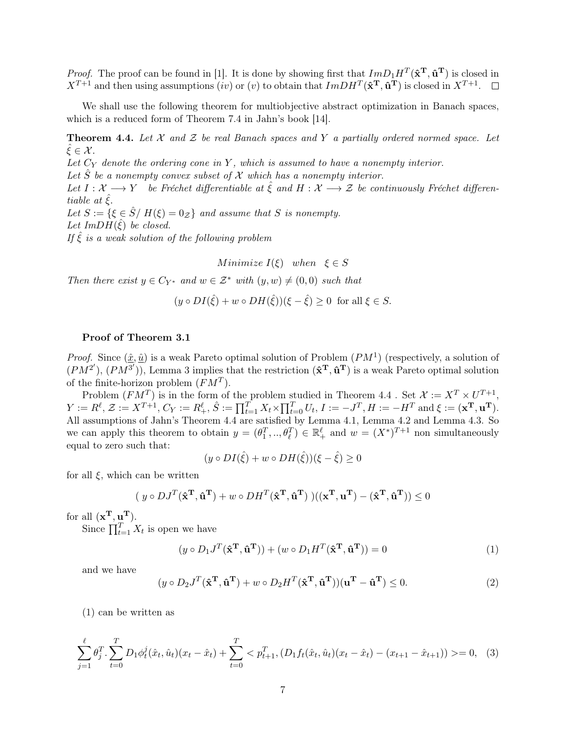*Proof.* The proof can be found in [\[1\]](#page-11-2). It is done by showing first that  $Im D_1 H^T(\hat{\mathbf{x}}^T, \hat{\mathbf{u}}^T)$  is closed in  $X^{T+1}$  and then using assumptions (iv) or (v) to obtain that  $ImDH^{T}(\hat{\mathbf{x}}^{T}, \hat{\mathbf{u}}^{T})$  is closed in  $X^{T+1}$ .

We shall use the following theorem for multiobjective abstract optimization in Banach spaces, which is a reduced form of Theorem 7.4 in Jahn's book [\[14\]](#page-12-12).

<span id="page-6-0"></span>**Theorem 4.4.** Let  $\mathcal X$  and  $\mathcal Z$  be real Banach spaces and Y a partially ordered normed space. Let  $\xi \in \mathcal{X}$ .

Let  $C_Y$  denote the ordering cone in Y, which is assumed to have a nonempty interior.

Let  $\hat{S}$  be a nonempty convex subset of  $\mathcal X$  which has a nonempty interior.

Let  $I: \mathcal{X} \longrightarrow Y$  be Fréchet differentiable at  $\hat{\xi}$  and  $H: \mathcal{X} \longrightarrow \mathcal{Z}$  be continuously Fréchet differentiable at  $\xi$ .

Let  $S := \{ \xi \in \hat{S} / H(\xi) = 0_{\mathcal{Z}} \}$  and assume that S is nonempty. Let  $ImDH(\hat{\xi})$  be closed.

If  $\hat{\xi}$  is a weak solution of the following problem

Minimize  $I(\xi)$  when  $\xi \in S$ 

Then there exist  $y \in C_{Y^*}$  and  $w \in \mathcal{Z}^*$  with  $(y, w) \neq (0, 0)$  such that

$$
(y \circ DI(\hat{\xi}) + w \circ DH(\hat{\xi}))(\xi - \hat{\xi}) \ge 0
$$
 for all  $\xi \in S$ .

#### Proof of Theorem [3.1](#page-3-0)

*Proof.* Since  $(\hat{x}, \hat{u})$  is a weak Pareto optimal solution of Problem  $(PM^1)$  (respectively, a solution of  $(PM^{2'}), (PM^{3'}),$  Lemma 3 implies that the restriction  $(\mathbf{\hat{x}^T}, \mathbf{\hat{u}^T})$  is a weak Pareto optimal solution of the finite-horizon problem  $(FM^T)$ .

Problem  $(FM^T)$  is in the form of the problem studied in Theorem [4.4](#page-6-0). Set  $\mathcal{X} := X^T \times U^{T+1}$ ,  $Y := R^{\ell}, \mathcal{Z} := X^{T+1}, C_Y := R^{\ell}_+, \hat{S} := \prod_{t=1}^{T} X_t \times \prod_{t=0}^{T} U_t, I := -J^T, H := -H^T \text{ and } \xi := (\mathbf{x}^{\mathbf{T}}, \mathbf{u}^{\mathbf{T}}).$ All assumptions of Jahn's Theorem [4.4](#page-6-0) are satisfied by Lemma [4.1,](#page-5-0) Lemma [4.2](#page-5-1) and Lemma [4.3.](#page-5-2) So we can apply this theorem to obtain  $y = (\theta_1^T, ..., \theta_\ell^T) \in \mathbb{R}_+^{\ell}$  and  $w = (X^*)^{T+1}$  non simultaneously equal to zero such that:

$$
(y \circ DI(\hat{\xi}) + w \circ DH(\hat{\xi}))(\xi - \hat{\xi}) \ge 0
$$

for all  $\xi$ , which can be written

$$
(\ y \circ DJ^T(\hat{\mathbf{x}}^{\mathbf{T}}, \hat{\mathbf{u}}^{\mathbf{T}}) + w \circ DH^T(\hat{\mathbf{x}}^{\mathbf{T}}, \hat{\mathbf{u}}^{\mathbf{T}}))((\mathbf{x}^{\mathbf{T}}, \mathbf{u}^{\mathbf{T}}) - (\hat{\mathbf{x}}^{\mathbf{T}}, \hat{\mathbf{u}}^{\mathbf{T}})) \le 0
$$

for all  $(\mathbf{x}^{\mathrm{T}}, \mathbf{u}^{\mathrm{T}})$ .

Since  $\prod_{t=1}^{T} X_t$  is open we have

<span id="page-6-1"></span>
$$
(y \circ D_1 J^T(\hat{\mathbf{x}}^T, \hat{\mathbf{u}}^T)) + (w \circ D_1 H^T(\hat{\mathbf{x}}^T, \hat{\mathbf{u}}^T)) = 0
$$
\n(1)

and we have

<span id="page-6-2"></span>
$$
(y \circ D_2 J^T(\hat{\mathbf{x}}^T, \hat{\mathbf{u}}^T) + w \circ D_2 H^T(\hat{\mathbf{x}}^T, \hat{\mathbf{u}}^T)) (\mathbf{u}^T - \hat{\mathbf{u}}^T) \le 0.
$$
 (2)

[\(1\)](#page-6-1) can be written as

$$
\sum_{j=1}^{\ell} \theta_j^T \cdot \sum_{t=0}^T D_1 \phi_t^j(\hat{x}_t, \hat{u}_t) (x_t - \hat{x}_t) + \sum_{t=0}^T \langle p_{t+1}^T, (D_1 f_t(\hat{x}_t, \hat{u}_t) (x_t - \hat{x}_t) - (x_{t+1} - \hat{x}_{t+1})) \rangle = 0, \quad (3)
$$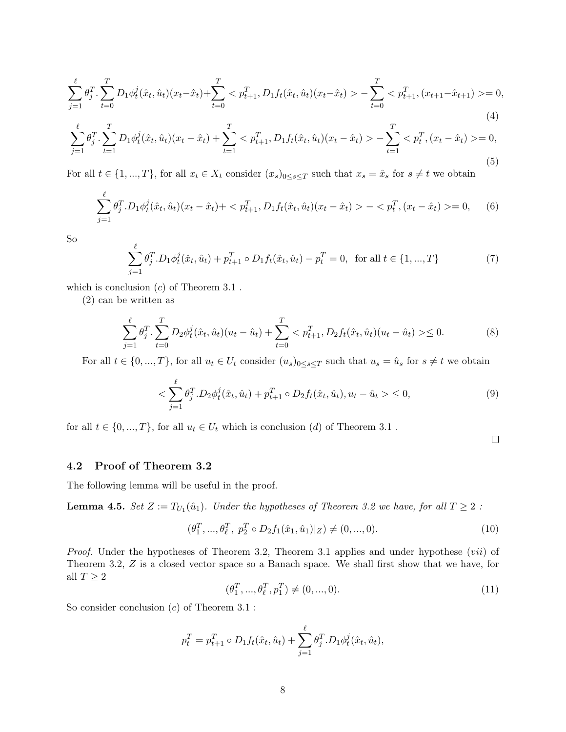$$
\sum_{j=1}^{\ell} \theta_j^T \cdot \sum_{t=0}^T D_1 \phi_t^j(\hat{x}_t, \hat{u}_t) (x_t - \hat{x}_t) + \sum_{t=0}^T < p_{t+1}^T, D_1 f_t(\hat{x}_t, \hat{u}_t) (x_t - \hat{x}_t) > -\sum_{t=0}^T < p_{t+1}^T, (x_{t+1} - \hat{x}_{t+1}) > = 0,\tag{4}
$$

$$
\sum_{j=1}^{\ell} \theta_j^T \cdot \sum_{t=1}^T D_1 \phi_t^j(\hat{x}_t, \hat{u}_t) (x_t - \hat{x}_t) + \sum_{t=1}^T < p_{t+1}^T, D_1 f_t(\hat{x}_t, \hat{u}_t) (x_t - \hat{x}_t) > -\sum_{t=1}^T < p_t^T, (x_t - \hat{x}_t) > = 0,\tag{5}
$$

For all  $t \in \{1, ..., T\}$ , for all  $x_t \in X_t$  consider  $(x_s)_{0 \le s \le T}$  such that  $x_s = \hat{x}_s$  for  $s \neq t$  we obtain

$$
\sum_{j=1}^{\ell} \theta_j^T \cdot D_1 \phi_t^j(\hat{x}_t, \hat{u}_t)(x_t - \hat{x}_t) + \langle p_{t+1}^T, D_1 f_t(\hat{x}_t, \hat{u}_t)(x_t - \hat{x}_t) \rangle - \langle p_t^T, (x_t - \hat{x}_t) \rangle = 0, \quad (6)
$$

So

$$
\sum_{j=1}^{\ell} \theta_j^T \cdot D_1 \phi_t^j(\hat{x}_t, \hat{u}_t) + p_{t+1}^T \circ D_1 f_t(\hat{x}_t, \hat{u}_t) - p_t^T = 0, \text{ for all } t \in \{1, ..., T\}
$$
 (7)

which is conclusion  $(c)$  of Theorem [3.1](#page-3-0).

[\(2\)](#page-6-2) can be written as

$$
\sum_{j=1}^{\ell} \theta_j^T \cdot \sum_{t=0}^T D_2 \phi_t^j(\hat{x}_t, \hat{u}_t) (u_t - \hat{u}_t) + \sum_{t=0}^T \langle p_{t+1}^T, D_2 f_t(\hat{x}_t, \hat{u}_t) (u_t - \hat{u}_t) \rangle \le 0.
$$
 (8)

For all  $t \in \{0, ..., T\}$ , for all  $u_t \in U_t$  consider  $(u_s)_{0 \le s \le T}$  such that  $u_s = \hat{u}_s$  for  $s \neq t$  we obtain

$$
\langle \sum_{j=1}^{\ell} \theta_j^T \cdot D_2 \phi_t^j(\hat{x}_t, \hat{u}_t) + p_{t+1}^T \circ D_2 f_t(\hat{x}_t, \hat{u}_t), u_t - \hat{u}_t \rangle \le 0,
$$
\n(9)

for all  $t \in \{0, ..., T\}$ , for all  $u_t \in U_t$  which is conclusion  $(d)$  of Theorem [3.1](#page-3-0).

 $\Box$ 

### 4.2 Proof of Theorem [3.2](#page-4-0)

The following lemma will be useful in the proof.

**Lemma 4.5.** Set  $Z := T_{U_1}(\hat{u}_1)$ . Under the hypotheses of Theorem [3.2](#page-4-0) we have, for all  $T \geq 2$  :

<span id="page-7-1"></span>
$$
(\theta_1^T, ..., \theta_\ell^T, p_2^T \circ D_2 f_1(\hat{x}_1, \hat{u}_1)|_Z) \neq (0, ..., 0). \tag{10}
$$

Proof. Under the hypotheses of Theorem [3.2,](#page-4-0) Theorem [3.1](#page-3-0) applies and under hypothese (vii) of Theorem [3.2,](#page-4-0) Z is a closed vector space so a Banach space. We shall first show that we have, for all  $T\geq 2$ 

<span id="page-7-0"></span>
$$
(\theta_1^T, ..., \theta_\ell^T, p_1^T) \neq (0, ..., 0). \tag{11}
$$

So consider conclusion  $(c)$  of Theorem [3.1](#page-3-0) :

$$
p_t^T = p_{t+1}^T \circ D_1 f_t(\hat{x}_t, \hat{u}_t) + \sum_{j=1}^{\ell} \theta_j^T \cdot D_1 \phi_t^j(\hat{x}_t, \hat{u}_t),
$$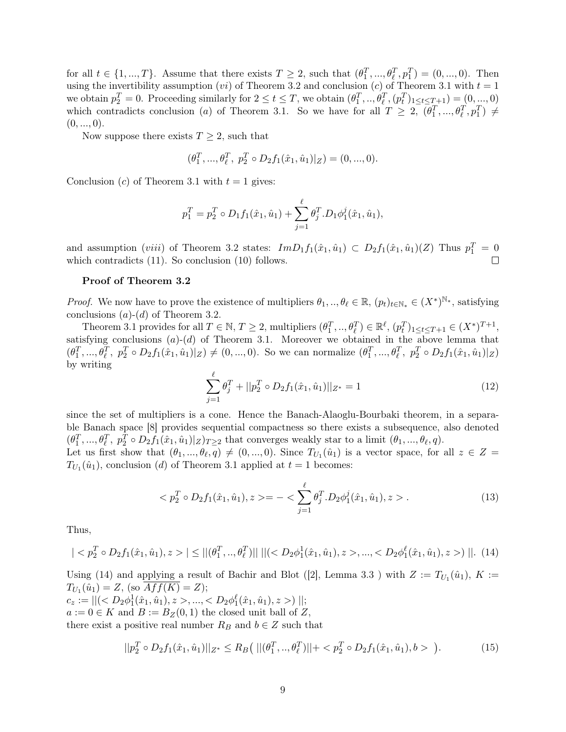for all  $t \in \{1, ..., T\}$ . Assume that there exists  $T \geq 2$ , such that  $(\theta_1^T, ..., \theta_\ell^T, p_1^T) = (0, ..., 0)$ . Then using the invertibility assumption (*vi*) of Theorem [3.2](#page-4-0) and conclusion (*c*) of Theorem [3.1](#page-3-0) with  $t = 1$ we obtain  $p_2^T = 0$ . Proceeding similarly for  $2 \le t \le T$ , we obtain  $(\theta_1^T, ..., \theta_\ell^T, (p_t^T)_{1 \le t \le T+1}) = (0, ..., 0)$ which contradicts conclusion (a) of Theorem [3.1.](#page-3-0) So we have for all  $T \geq 2$ ,  $(\theta_1^T, ..., \theta_\ell^T, p_1^T) \neq$  $(0, ..., 0)$ .

Now suppose there exists  $T \geq 2$ , such that

$$
(\theta_1^T, ..., \theta_\ell^T, p_2^T \circ D_2 f_1(\hat{x}_1, \hat{u}_1)|_Z) = (0, ..., 0).
$$

Conclusion (c) of Theorem [3.1](#page-3-0) with  $t = 1$  gives:

$$
p_1^T = p_2^T \circ D_1 f_1(\hat{x}_1, \hat{u}_1) + \sum_{j=1}^{\ell} \theta_j^T \cdot D_1 \phi_1^j(\hat{x}_1, \hat{u}_1),
$$

and assumption (*viii*) of Theorem [3.2](#page-4-0) states:  $Im D_1 f_1(\hat{x}_1, \hat{u}_1) \subset D_2 f_1(\hat{x}_1, \hat{u}_1)(Z)$  Thus  $p_1^T = 0$ which contradicts  $(11)$ . So conclusion  $(10)$  follows.

#### Proof of Theorem [3.2](#page-4-0)

*Proof.* We now have to prove the existence of multipliers  $\theta_1, \dots, \theta_\ell \in \mathbb{R}$ ,  $(p_t)_{t \in \mathbb{N}_*} \in (X^*)^{\mathbb{N}_*}$ , satisfying conclusions  $(a)-(d)$  of Theorem [3.2.](#page-4-0)

Theorem [3.1](#page-3-0) provides for all  $T \in \mathbb{N}$ ,  $T \geq 2$ , multipliers  $(\theta_1^T, ..., \theta_\ell^T) \in \mathbb{R}^{\ell}$ ,  $(p_t^T)_{1 \leq t \leq T+1} \in (X^*)^{T+1}$ , satisfying conclusions  $(a)-(d)$  of Theorem [3.1.](#page-3-0) Moreover we obtained in the above lemma that  $(\theta_1^T, ..., \theta_\ell^T, p_2^T \circ D_2 f_1(\hat{x}_1, \hat{u}_1)|_Z) \neq (0, ..., 0)$ . So we can normalize  $(\theta_1^T, ..., \theta_\ell^T, p_2^T \circ D_2 f_1(\hat{x}_1, \hat{u}_1)|_Z)$ by writing

<span id="page-8-2"></span>
$$
\sum_{j=1}^{\ell} \theta_j^T + ||p_2^T \circ D_2 f_1(\hat{x}_1, \hat{u}_1)||_{Z^*} = 1
$$
\n(12)

since the set of multipliers is a cone. Hence the Banach-Alaoglu-Bourbaki theorem, in a separable Banach space [\[8\]](#page-12-13) provides sequential compactness so there exists a subsequence, also denoted  $(\theta_1^T, ..., \theta_\ell^T, p_2^T \circ D_2 f_1(\hat{x}_1, \hat{u}_1)|_Z)_{T \geq 2}$  that converges weakly star to a limit  $(\theta_1, ..., \theta_\ell, q)$ .

Let us first show that  $(\theta_1, ..., \theta_\ell, q) \neq (0, ..., 0)$ . Since  $T_{U_1}(\hat{u}_1)$  is a vector space, for all  $z \in Z =$  $T_{U_1}(\hat{u}_1)$ , conclusion (d) of Theorem [3.1](#page-3-0) applied at  $t = 1$  becomes:

$$
\langle p_2^T \circ D_2 f_1(\hat{x}_1, \hat{u}_1), z \rangle = -\langle \sum_{j=1}^{\ell} \theta_j^T \cdot D_2 \phi_1^j(\hat{x}_1, \hat{u}_1), z \rangle. \tag{13}
$$

Thus,

<span id="page-8-0"></span>
$$
|| \le ||(\theta_1^T, ..., \theta_\ell^T)|| \, ||(,="" z>||.="">
$$

Using [\(14\)](#page-8-0) and applying a result of Bachir and Blot ([\[2\]](#page-11-3), Lemma 3.3) with  $Z := T_{U_1}(\hat{u}_1)$ ,  $K :=$  $T_{U_1}(\hat{u}_1) = Z$ , (so  $Aff(K) = Z$ );  $c_z := ||( $D_2\phi_1^1(\hat{x}_1, \hat{u}_1), z>, ..., < D_2\phi_1^{\ell}(\hat{x}_1, \hat{u}_1), z>$ ) ||;$  $a := 0 \in K$  and  $B := B_Z(0, 1)$  the closed unit ball of Z,

there exist a positive real number  $R_B$  and  $b \in Z$  such that

<span id="page-8-1"></span>
$$
||p_2^T \circ D_2 f_1(\hat{x}_1, \hat{u}_1)||_{Z^*} \le R_B(||(\theta_1^T, ..., \theta_\ell^T)|| + \langle p_2^T \circ D_2 f_1(\hat{x}_1, \hat{u}_1), b \rangle) \tag{15}
$$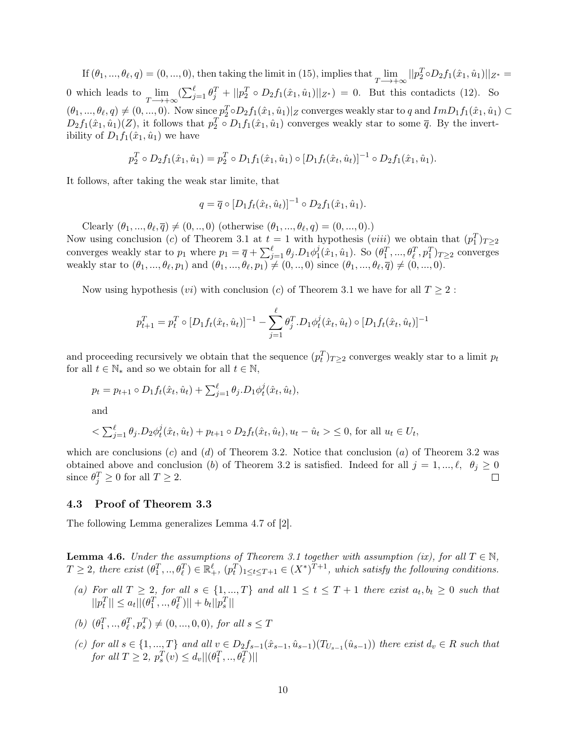If  $(\theta_1, ..., \theta_\ell, q) = (0, ..., 0)$ , then taking the limit in [\(15\)](#page-8-1), implies that  $\lim_{T \longrightarrow +\infty} ||p_2^T \circ D_2 f_1(\hat{x}_1, \hat{u}_1)||_{Z^*} =$ 0 which leads to  $\lim_{T \to +\infty} (\sum_{j=1}^{\ell} \theta_j^T + ||p_2^T \circ D_2 f_1(\hat{x}_1, \hat{u}_1)||_{Z^*}) = 0$ . But this contadicts [\(12\)](#page-8-2). So  $(\theta_1, ..., \theta_\ell, q) \neq (0, ..., 0)$ . Now since  $p_2^T \circ D_2 f_1(\hat{x}_1, \hat{u}_1) | Z$  converges weakly star to q and  $Im D_1 f_1(\hat{x}_1, \hat{u}_1) \subset$  $D_2 f_1(\hat{x}_1, \hat{u}_1)(Z)$ , it follows that  $p_2^T \circ D_1 f_1(\hat{x}_1, \hat{u}_1)$  converges weakly star to some  $\overline{q}$ . By the invertibility of  $D_1 f_1(\hat{x}_1, \hat{u}_1)$  we have

$$
p_2^T \circ D_2 f_1(\hat{x}_1, \hat{u}_1) = p_2^T \circ D_1 f_1(\hat{x}_1, \hat{u}_1) \circ [D_1 f_t(\hat{x}_t, \hat{u}_t)]^{-1} \circ D_2 f_1(\hat{x}_1, \hat{u}_1).
$$

It follows, after taking the weak star limite, that

$$
q = \overline{q} \circ [D_1 f_t(\hat{x}_t, \hat{u}_t)]^{-1} \circ D_2 f_1(\hat{x}_1, \hat{u}_1).
$$

Clearly  $(\theta_1, ..., \theta_\ell, \overline{q}) \neq (0, ..., 0)$  (otherwise  $(\theta_1, ..., \theta_\ell, q) = (0, ..., 0)$ .)

Now using conclusion (c) of Theorem [3.1](#page-3-0) at  $t = 1$  with hypothesis (*viii*) we obtain that  $(p_1^T)_{T \geq 2}$ converges weakly star to  $p_1$  where  $p_1 = \overline{q} + \sum_{j=1}^{\ell} \theta_j \cdot D_1 \phi_1^j$  $(\hat{x}_1, \hat{u}_1)$ . So  $(\theta_1^T, ..., \theta_\ell^T, p_1^T)_{T \geq 2}$  converges weakly star to  $(\theta_1, ..., \theta_\ell, p_1)$  and  $(\theta_1, ..., \theta_\ell, p_1) \neq (0, ..., 0)$  since  $(\theta_1, ..., \theta_\ell, \overline{q}) \neq (0, ..., 0)$ .

Now using hypothesis  $(vi)$  with conclusion (c) of Theorem [3.1](#page-3-0) we have for all  $T \geq 2$ :

$$
p_{t+1}^T = p_t^T \circ [D_1 f_t(\hat{x}_t, \hat{u}_t)]^{-1} - \sum_{j=1}^{\ell} \theta_j^T \cdot D_1 \phi_t^j(\hat{x}_t, \hat{u}_t) \circ [D_1 f_t(\hat{x}_t, \hat{u}_t)]^{-1}
$$

and proceeding recursively we obtain that the sequence  $(p_t^T)_{T\geq 2}$  converges weakly star to a limit  $p_t$ for all  $t \in \mathbb{N}_*$  and so we obtain for all  $t \in \mathbb{N}$ ,

$$
p_t = p_{t+1} \circ D_1 f_t(\hat{x}_t, \hat{u}_t) + \sum_{j=1}^{\ell} \theta_j \cdot D_1 \phi_t^j(\hat{x}_t, \hat{u}_t),
$$

and

$$
\langle \sum_{j=1}^{\ell} \theta_j . D_2 \phi_t^j(\hat{x}_t, \hat{u}_t) + p_{t+1} \circ D_2 f_t(\hat{x}_t, \hat{u}_t), u_t - \hat{u}_t \rangle \le 0, \text{ for all } u_t \in U_t,
$$

which are conclusions  $(c)$  and  $(d)$  of Theorem [3.2.](#page-4-0) Notice that conclusion  $(a)$  of Theorem [3.2](#page-4-0) was obtained above and conclusion (b) of Theorem [3.2](#page-4-0) is satisfied. Indeed for all  $j = 1, ..., \ell, \theta_j \ge 0$ since  $\theta_j^T \ge 0$  for all  $T \ge 2$ .  $\Box$ 

### 4.3 Proof of Theorem [3.3](#page-4-1)

The following Lemma generalizes Lemma 4.7 of [\[2\]](#page-11-3).

<span id="page-9-0"></span>**Lemma 4.6.** Under the assumptions of Theorem [3.1](#page-3-0) together with assumption (ix), for all  $T \in \mathbb{N}$ ,  $T \geq 2$ , there exist  $(\theta_1^T, ..., \theta_\ell^T) \in \mathbb{R}^{\ell}_+$ ,  $(p_t^T)_{1 \leq t \leq T+1} \in (X^*)^{T+1}$ , which satisfy the following conditions.

- (a) For all  $T \geq 2$ , for all  $s \in \{1, ..., T\}$  and all  $1 \leq t \leq T+1$  there exist  $a_t, b_t \geq 0$  such that  $||p_t^T|| \leq a_t ||(\theta_1^T, ..., \theta_\ell^T)|| + b_t ||p_s^T||$
- (b)  $(\theta_1^T, ..., \theta_\ell^T, p_s^T) \neq (0, ..., 0, 0),$  for all  $s \leq T$
- (c) for all  $s \in \{1, ..., T\}$  and all  $v \in D_2 f_{s-1}(\hat{x}_{s-1}, \hat{u}_{s-1}) (T_{U_{s-1}}(\hat{u}_{s-1}))$  there exist  $d_v \in R$  such that for all  $T \ge 2$ ,  $p_s^T(v) \le d_v ||(\theta_1^T, ..., \theta_\ell^T)||$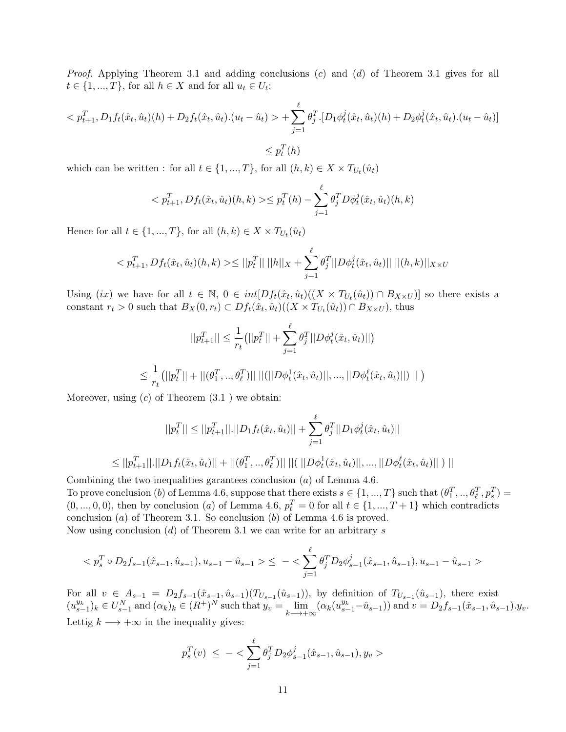*Proof.* Applying Theorem [3.1](#page-3-0) and adding conclusions  $(c)$  and  $(d)$  of Theorem 3.1 gives for all  $t \in \{1, ..., T\}$ , for all  $h \in X$  and for all  $u_t \in U_t$ :

$$
\langle p_{t+1}^T, D_1 f_t(\hat{x}_t, \hat{u}_t)(h) + D_2 f_t(\hat{x}_t, \hat{u}_t) \cdot (u_t - \hat{u}_t) \rangle + \sum_{j=1}^{\ell} \theta_j^T \cdot [D_1 \phi_t^j(\hat{x}_t, \hat{u}_t)(h) + D_2 \phi_t^j(\hat{x}_t, \hat{u}_t) \cdot (u_t - \hat{u}_t)]
$$

 $\leq p_t^T(h)$ 

which can be written : for all  $t \in \{1, ..., T\}$ , for all  $(h, k) \in X \times T_{U_t}(\hat{u}_t)$ 

$$
\langle p_{t+1}^T, Df_t(\hat{x}_t, \hat{u}_t)(h, k) \rangle \leq p_t^T(h) - \sum_{j=1}^{\ell} \theta_j^T D\phi_t^j(\hat{x}_t, \hat{u}_t)(h, k)
$$

Hence for all  $t \in \{1, ..., T\}$ , for all  $(h, k) \in X \times T_{U_t}(\hat{u}_t)$ 

$$
\langle p_{t+1}^T, Df_t(\hat{x}_t, \hat{u}_t)(h, k) \rangle \le ||p_t^T|| \, ||h||_X + \sum_{j=1}^{\ell} \theta_j^T ||D\phi_t^j(\hat{x}_t, \hat{u}_t)|| \, ||(h, k)||_{X \times U}
$$

Using (ix) we have for all  $t \in \mathbb{N}$ ,  $0 \in int[*Df<sub>t</sub>*(\hat{x}<sub>t</sub>, \hat{u}<sub>t</sub>)((X \times T_{U_{t}}(\hat{u}_{t})) \cap B_{X \times U})]$  so there exists a constant  $r_t > 0$  such that  $B_X(0, r_t) \subset Df_t(\hat{x}_t, \hat{u}_t) ((X \times T_{U_t}(\hat{u}_t)) \cap B_{X \times U}),$  thus

$$
||p_{t+1}^T|| \leq \frac{1}{r_t} (||p_t^T|| + \sum_{j=1}^{\ell} \theta_j^T ||D\phi_t^j(\hat{x}_t, \hat{u}_t)||)
$$
  

$$
\leq \frac{1}{r_t} (||p_t^T|| + ||(\theta_1^T, ..., \theta_\ell^T)|| \ ||(||D\phi_t^1(\hat{x}_t, \hat{u}_t)||, ..., ||D\phi_t^{\ell}(\hat{x}_t, \hat{u}_t)||) || )
$$

Moreover, using  $(c)$  of Theorem  $(3.1)$  $(3.1)$  we obtain:

$$
||p_t^T|| \le ||p_{t+1}^T|| \cdot ||D_1 f_t(\hat{x}_t, \hat{u}_t)|| + \sum_{j=1}^{\ell} \theta_j^T ||D_1 \phi_t^j(\hat{x}_t, \hat{u}_t)||
$$
  

$$
\le ||p_{t+1}^T|| \cdot ||D_1 f_t(\hat{x}_t, \hat{u}_t)|| + ||(\theta_1^T, ..., \theta_\ell^T)|| \cdot ||(\ ||D\phi_t^1(\hat{x}_t, \hat{u}_t)||, ..., ||D\phi_t^{\ell}(\hat{x}_t, \hat{u}_t)|| ) ||
$$

Combining the two inequalities garantees conclusion (a) of Lemma [4.6.](#page-9-0)

To prove conclusion (b) of Lemma [4.6,](#page-9-0) suppose that there exists  $s \in \{1, ..., T\}$  such that  $(\theta_1^T, ..., \theta_\ell^T, p_s^T)$  $(0, ..., 0, 0)$ , then by conclusion (a) of Lemma [4.6,](#page-9-0)  $p_t^T = 0$  for all  $t \in \{1, ..., T + 1\}$  which contradicts conclusion  $(a)$  of Theorem [3.1.](#page-3-0) So conclusion  $(b)$  of Lemma [4.6](#page-9-0) is proved.

Now using conclusion  $(d)$  of Theorem [3.1](#page-3-0) we can write for an arbitrary s

$$
\langle p_s^T \circ D_2 f_{s-1}(\hat{x}_{s-1}, \hat{u}_{s-1}), u_{s-1} - \hat{u}_{s-1} \rangle \le - \langle \sum_{j=1}^{\ell} \theta_j^T D_2 \phi_{s-1}^j(\hat{x}_{s-1}, \hat{u}_{s-1}), u_{s-1} - \hat{u}_{s-1} \rangle
$$

For all  $v \in A_{s-1} = D_2 f_{s-1}(\hat{x}_{s-1}, \hat{u}_{s-1}) (T_{U_{s-1}}(\hat{u}_{s-1}))$ , by definition of  $T_{U_{s-1}}(\hat{u}_{s-1})$ , there exist  $(u_{s-1}^{y_k})_k \in U_{s-1}^N$  and  $(\alpha_k)_k \in (R^+)^N$  such that  $y_v = \lim_{k \to +\infty} (\alpha_k(u_{s-1}^{y_k} - \hat{u}_{s-1}))$  and  $v = D_2 f_{s-1}(\hat{x}_{s-1}, \hat{u}_{s-1})$ . Lettig  $k \longrightarrow +\infty$  in the inequality gives:

$$
p_s^T(v) \leq -\langle \sum_{j=1}^{\ell} \theta_j^T D_2 \phi_{s-1}^j(\hat{x}_{s-1}, \hat{u}_{s-1}), y_v \rangle
$$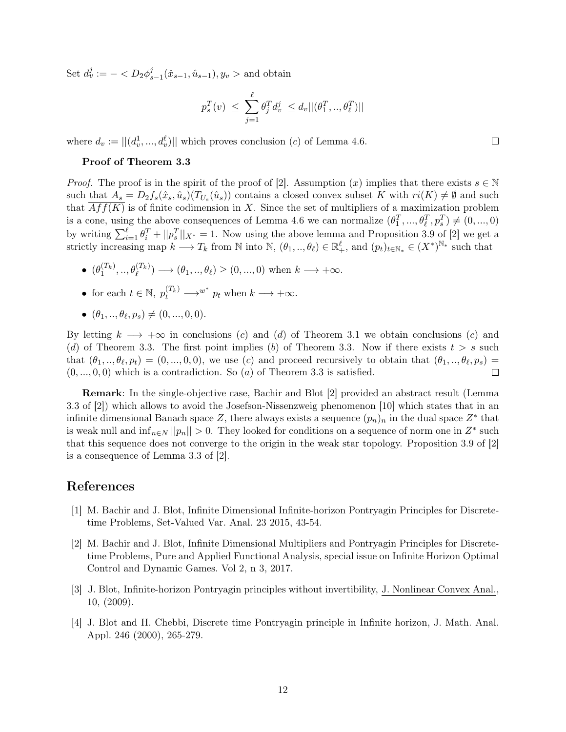Set  $d_v^j := - \langle D_2 \phi_s^j \rangle$  $y_{s-1}^j(\hat{x}_{s-1}, \hat{u}_{s-1}), y_v > \text{and obtain}$ 

$$
p_s^T(v) \ \leq \ \sum_{j=1}^\ell \theta_j^T d_v^j \ \leq d_v ||(\theta_1^T,..,\theta_\ell^T)||
$$

where  $d_v := ||(d_v^1, ..., d_v^{\ell})||$  which proves conclusion  $(c)$  of Lemma [4.6.](#page-9-0)

#### Proof of Theorem [3.3](#page-4-1)

*Proof.* The proof is in the spirit of the proof of [\[2\]](#page-11-3). Assumption  $(x)$  implies that there exists  $s \in \mathbb{N}$ such that  $A_s = D_2 f_s(\hat{x}_s, \hat{u}_s) (T_{U_s}(\hat{u}_s))$  contains a closed convex subset K with  $ri(K) \neq \emptyset$  and such that  $Aff(K)$  is of finite codimension in X. Since the set of multipliers of a maximization problem is a cone, using the above consequences of Lemma [4.6](#page-9-0) we can normalize  $(\theta_1^T, ..., \theta_\ell^T, p_s^T) \neq (0, ..., 0)$ by writing  $\sum_{i=1}^{\ell} \theta_i^T + ||p_s||_{X^*} = 1$ . Now using the above lemma and Proposition 3.9 of [\[2\]](#page-11-3) we get a strictly increasing map  $k \longrightarrow T_k$  from N into N,  $(\theta_1, ..., \theta_\ell) \in \mathbb{R}^\ell_+$ , and  $(p_t)_{t \in \mathbb{N}_*} \in (X^*)^{\mathbb{N}_*}$  such that

- $(\theta_1^{(T_k)},...,\theta_\ell^{(T_k)}) \longrightarrow (\theta_1,...,\theta_\ell) \ge (0,...,0)$  when  $k \longrightarrow +\infty$ .
- for each  $t \in \mathbb{N}$ ,  $p_t^{(T_k)} \longrightarrow^{w^*} p_t$  when  $k \longrightarrow +\infty$ .
- $(\theta_1, ..., \theta_\ell, p_s) \neq (0, ..., 0, 0).$

By letting  $k \longrightarrow +\infty$  in conclusions (c) and (d) of Theorem [3.1](#page-3-0) we obtain conclusions (c) and (d) of Theorem [3.3.](#page-4-1) The first point implies (b) of Theorem 3.3. Now if there exists  $t > s$  such that  $(\theta_1, ..., \theta_\ell, p_t) = (0, ..., 0, 0)$ , we use (c) and proceed recursively to obtain that  $(\theta_1, ..., \theta_\ell, p_s)$  $(0, ..., 0, 0)$  which is a contradiction. So  $(a)$  of Theorem [3.3](#page-4-1) is satisfied.  $\Box$ 

Remark: In the single-objective case, Bachir and Blot [\[2\]](#page-11-3) provided an abstract result (Lemma 3.3 of [\[2\]](#page-11-3)) which allows to avoid the Josefson-Nissenzweig phenomenon [\[10\]](#page-12-14) which states that in an infinite dimensional Banach space Z, there always exists a sequence  $(p_n)_n$  in the dual space  $Z^*$  that is weak null and  $\inf_{n\in\mathbb{N}}||p_n|| > 0$ . They looked for conditions on a sequence of norm one in  $Z^*$  such that this sequence does not converge to the origin in the weak star topology. Proposition 3.9 of [\[2\]](#page-11-3) is a consequence of Lemma 3.3 of [\[2\]](#page-11-3).

## References

- <span id="page-11-2"></span>[1] M. Bachir and J. Blot, Infinite Dimensional Infinite-horizon Pontryagin Principles for Discretetime Problems, Set-Valued Var. Anal. 23 2015, 43-54.
- <span id="page-11-3"></span>[2] M. Bachir and J. Blot, Infinite Dimensional Multipliers and Pontryagin Principles for Discretetime Problems, Pure and Applied Functional Analysis, special issue on Infinite Horizon Optimal Control and Dynamic Games. Vol 2, n 3, 2017.
- <span id="page-11-0"></span>[3] J. Blot, Infinite-horizon Pontryagin principles without invertibility, J. Nonlinear Convex Anal., 10, (2009).
- <span id="page-11-1"></span>[4] J. Blot and H. Chebbi, Discrete time Pontryagin principle in Infinite horizon, J. Math. Anal. Appl. 246 (2000), 265-279.

 $\Box$